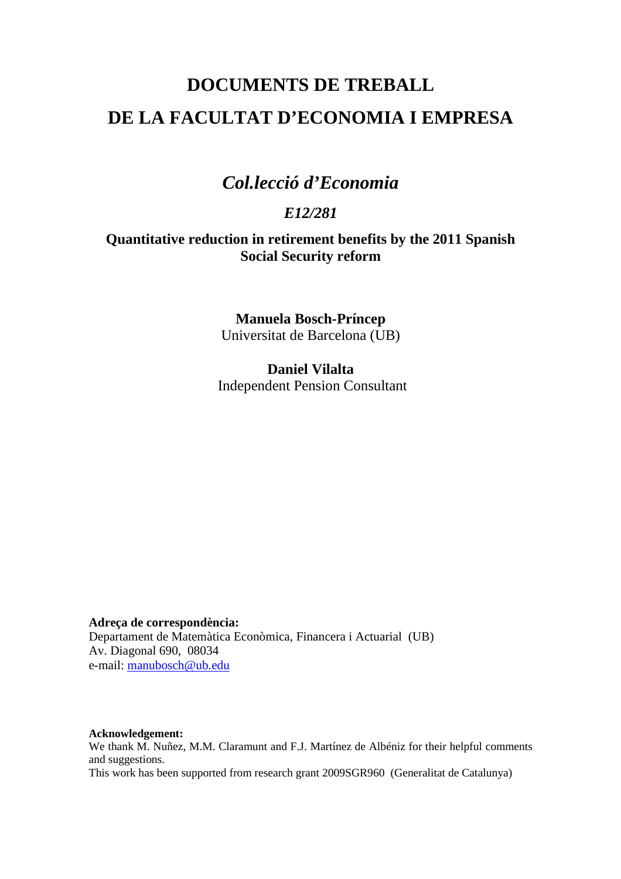# **DOCUMENTS DE TREBALL DE LA FACULTAT D'ECONOMIA I EMPRESA**

## *Col.lecció d'Economia*

### *E12/281*

#### **Quantitative reduction in retirement benefits by the 2011 Spanish Social Security reform**

**Manuela Bosch-Príncep**  Universitat de Barcelona (UB)

**Daniel Vilalta**  Independent Pension Consultant

**Adreça de correspondència:**  Departament de Matemàtica Econòmica, Financera i Actuarial (UB) Av. Diagonal 690, 08034 e-mail: manubosch@ub.edu

**Acknowledgement:**  We thank M. Nuñez, M.M. Claramunt and F.J. Martínez de Albéniz for their helpful comments and suggestions. This work has been supported from research grant 2009SGR960 (Generalitat de Catalunya)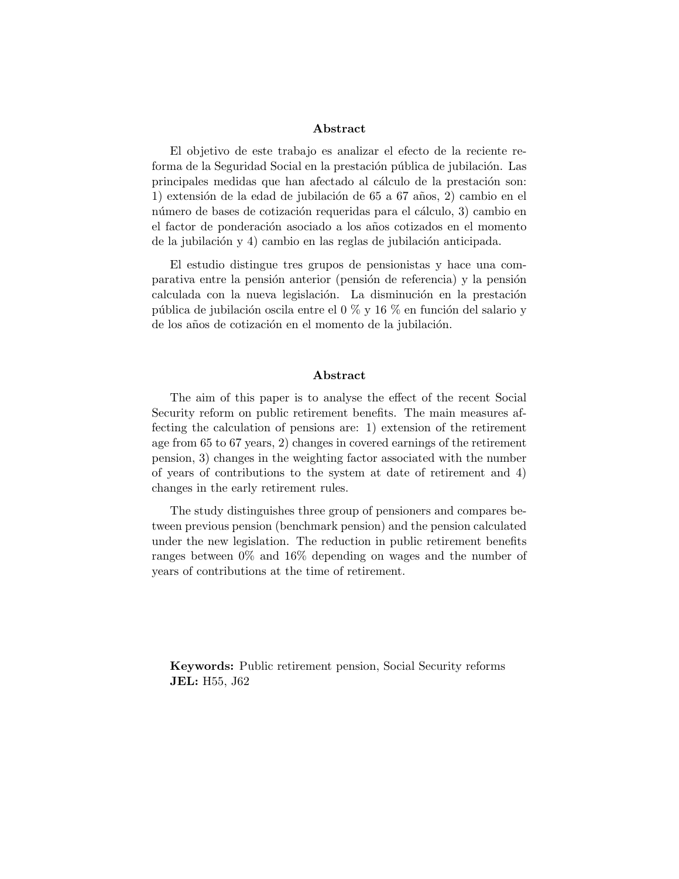#### Abstract

El objetivo de este trabajo es analizar el efecto de la reciente reforma de la Seguridad Social en la prestación pública de jubilación. Las principales medidas que han afectado al cálculo de la prestación son: 1) extensión de la edad de jubilación de 65 a 67 años, 2) cambio en el número de bases de cotización requeridas para el cálculo, 3) cambio en el factor de ponderación asociado a los años cotizados en el momento de la jubilación y 4) cambio en las reglas de jubilación anticipada.

El estudio distingue tres grupos de pensionistas y hace una comparativa entre la pensión anterior (pensión de referencia) y la pensión calculada con la nueva legislación. La disminución en la prestación pública de jubilación oscila entre el 0 % y 16 % en función del salario y de los años de cotización en el momento de la jubilación.

#### Abstract

The aim of this paper is to analyse the effect of the recent Social Security reform on public retirement benefits. The main measures affecting the calculation of pensions are: 1) extension of the retirement age from 65 to 67 years, 2) changes in covered earnings of the retirement pension, 3) changes in the weighting factor associated with the number of years of contributions to the system at date of retirement and 4) changes in the early retirement rules.

The study distinguishes three group of pensioners and compares between previous pension (benchmark pension) and the pension calculated under the new legislation. The reduction in public retirement benefits ranges between 0% and 16% depending on wages and the number of years of contributions at the time of retirement.

Keywords: Public retirement pension, Social Security reforms JEL: H55, J62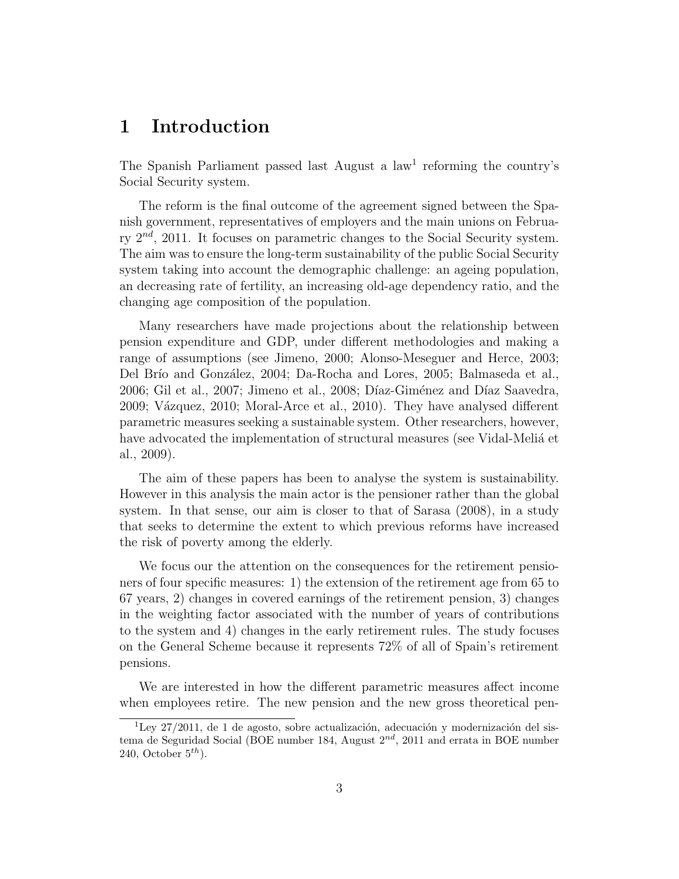### 1 Introduction

The Spanish Parliament passed last August a law<sup>1</sup> reforming the country's Social Security system.

The reform is the final outcome of the agreement signed between the Spanish government, representatives of employers and the main unions on February  $2^{nd}$ , 2011. It focuses on parametric changes to the Social Security system. The aim was to ensure the long-term sustainability of the public Social Security system taking into account the demographic challenge: an ageing population, an decreasing rate of fertility, an increasing old-age dependency ratio, and the changing age composition of the population.

Many researchers have made projections about the relationship between pension expenditure and GDP, under different methodologies and making a range of assumptions (see Jimeno, 2000; Alonso-Meseguer and Herce, 2003; Del Brío and González, 2004; Da-Rocha and Lores, 2005; Balmaseda et al., 2006; Gil et al., 2007; Jimeno et al., 2008; Díaz-Giménez and Díaz Saavedra, 2009; V´azquez, 2010; Moral-Arce et al., 2010). They have analysed different parametric measures seeking a sustainable system. Other researchers, however, have advocated the implementation of structural measures (see Vidal-Melia<sup> et</sup> al., 2009).

The aim of these papers has been to analyse the system is sustainability. However in this analysis the main actor is the pensioner rather than the global system. In that sense, our aim is closer to that of Sarasa (2008), in a study that seeks to determine the extent to which previous reforms have increased the risk of poverty among the elderly.

We focus our the attention on the consequences for the retirement pensioners of four specific measures: 1) the extension of the retirement age from 65 to 67 years, 2) changes in covered earnings of the retirement pension, 3) changes in the weighting factor associated with the number of years of contributions to the system and 4) changes in the early retirement rules. The study focuses on the General Scheme because it represents 72% of all of Spain's retirement pensions.

We are interested in how the different parametric measures affect income when employees retire. The new pension and the new gross theoretical pen-

 $\sqrt[1]{1-\mu}$  1 de 1 de agosto, sobre actualización, adecuación y modernización del sistema de Seguridad Social (BOE number 184, August  $2^{nd}$ , 2011 and errata in BOE number 240, October  $5^{th}$ ).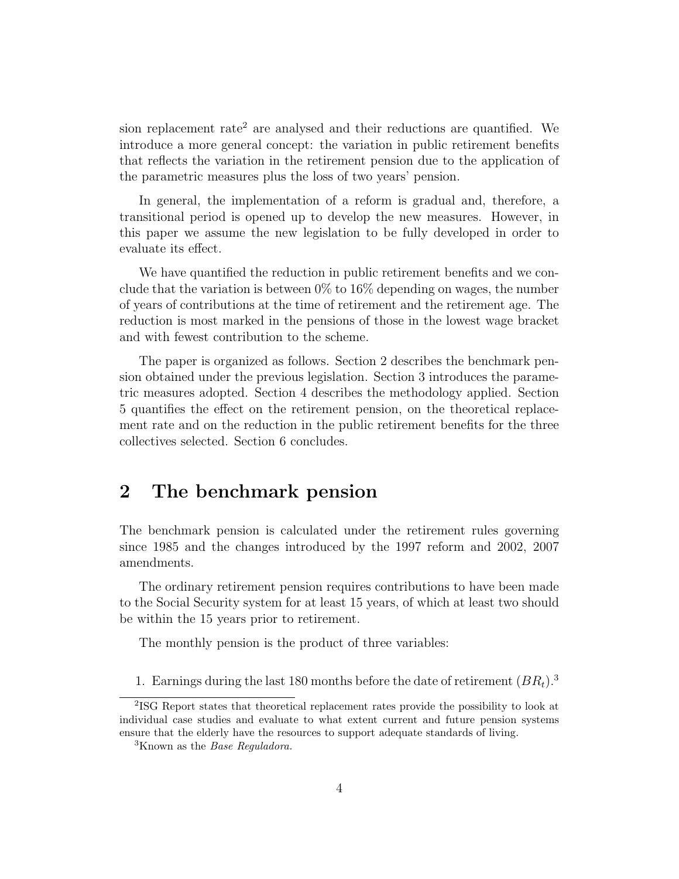sion replacement rate<sup>2</sup> are analysed and their reductions are quantified. We introduce a more general concept: the variation in public retirement benefits that reflects the variation in the retirement pension due to the application of the parametric measures plus the loss of two years' pension.

In general, the implementation of a reform is gradual and, therefore, a transitional period is opened up to develop the new measures. However, in this paper we assume the new legislation to be fully developed in order to evaluate its effect.

We have quantified the reduction in public retirement benefits and we conclude that the variation is between  $0\%$  to  $16\%$  depending on wages, the number of years of contributions at the time of retirement and the retirement age. The reduction is most marked in the pensions of those in the lowest wage bracket and with fewest contribution to the scheme.

The paper is organized as follows. Section 2 describes the benchmark pension obtained under the previous legislation. Section 3 introduces the parametric measures adopted. Section 4 describes the methodology applied. Section 5 quantifies the effect on the retirement pension, on the theoretical replacement rate and on the reduction in the public retirement benefits for the three collectives selected. Section 6 concludes.

## 2 The benchmark pension

The benchmark pension is calculated under the retirement rules governing since 1985 and the changes introduced by the 1997 reform and 2002, 2007 amendments.

The ordinary retirement pension requires contributions to have been made to the Social Security system for at least 15 years, of which at least two should be within the 15 years prior to retirement.

The monthly pension is the product of three variables:

1. Earnings during the last 180 months before the date of retirement  $(BR_t)^3$ .

<sup>2</sup> ISG Report states that theoretical replacement rates provide the possibility to look at individual case studies and evaluate to what extent current and future pension systems ensure that the elderly have the resources to support adequate standards of living.

 ${}^{3}$ Known as the *Base Reguladora*.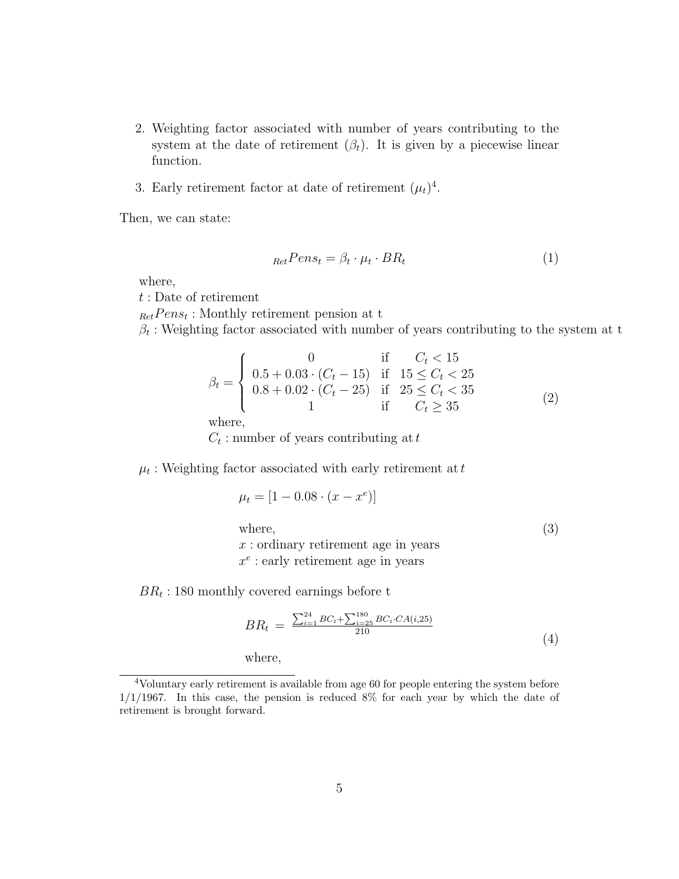- 2. Weighting factor associated with number of years contributing to the system at the date of retirement  $(\beta_t)$ . It is given by a piecewise linear function.
- 3. Early retirement factor at date of retirement  $(\mu_t)^4$ .

Then, we can state:

$$
_{Ret}Pens_t = \beta_t \cdot \mu_t \cdot BR_t \tag{1}
$$

where,

t : Date of retirement

 $_{Ret}Pens_t$ : Monthly retirement pension at t

 $\beta_t$ : Weighting factor associated with number of years contributing to the system at t

$$
\beta_t = \begin{cases}\n0 & \text{if } C_t < 15 \\
0.5 + 0.03 \cdot (C_t - 15) & \text{if } 15 \le C_t < 25 \\
0.8 + 0.02 \cdot (C_t - 25) & \text{if } 25 \le C_t < 35 \\
1 & \text{if } C_t \ge 35\n\end{cases}
$$
\n(2)

 $C_t$ : number of years contributing at  $t$ 

 $\mu_t$ : Weighting factor associated with early retirement at  $t$ 

$$
\mu_t = [1 - 0.08 \cdot (x - x^e)]
$$
  
where,  
 $x$ : ordinary retirement age in years  
 $x^e$ : early retirement age in years

 $BR_t$ : 180 monthly covered earnings before t

$$
BR_t = \frac{\sum_{i=1}^{24} BC_i + \sum_{i=25}^{180} BC_i \cdot CA(i,25)}{210} \tag{4}
$$

where,

<sup>4</sup>Voluntary early retirement is available from age 60 for people entering the system before  $1/1/1967$ . In this case, the pension is reduced 8% for each year by which the date of retirement is brought forward.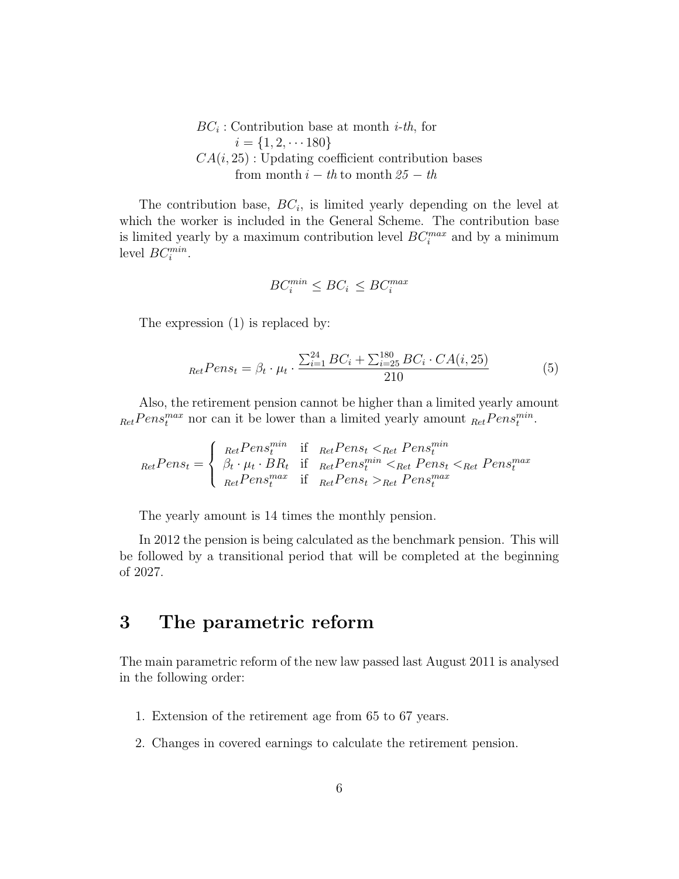$BC_i$ : Contribution base at month *i-th*, for  $i = \{1, 2, \dots 180\}$  $CA(i, 25)$ : Updating coefficient contribution bases from month  $i - th$  to month  $25 - th$ 

The contribution base,  $BC_i$ , is limited yearly depending on the level at which the worker is included in the General Scheme. The contribution base is limited yearly by a maximum contribution level  $BC_i^{max}$  and by a minimum level  $BC_i^{min}$ .

$$
BC_i^{\min} \le BC_i \le BC_i^{\max}
$$

The expression (1) is replaced by:

$$
_{Ret} Pens_t = \beta_t \cdot \mu_t \cdot \frac{\sum_{i=1}^{24} BC_i + \sum_{i=25}^{180} BC_i \cdot CA(i, 25)}{210}
$$
(5)

Also, the retirement pension cannot be higher than a limited yearly amount  $_{Ret} Pens_t^{max}$  nor can it be lower than a limited yearly amount  $_{Ret} Pens_t^{min}$ .

 $_{Ret}$  $Pens_t =$  $\sqrt{ }$  $\int$  $\overline{a}$  $_{Ret} Pens_t^{min}$  if  $_{Ret} Pens_t <_{Ret} Pens_t^{min}$  $\beta_t \cdot \mu_t \cdot BR_t$  if  $_{Ret} Pens_t^{min} <_{Ret} Pens_t <_{Ret} Pens_t^{max}$ <br>  $_{Ret} Pens_t^{max}$  if  $_{Ret} Pens_t >_{Ret} Pens_t^{max}$ 

The yearly amount is 14 times the monthly pension.

In 2012 the pension is being calculated as the benchmark pension. This will be followed by a transitional period that will be completed at the beginning of 2027.

### 3 The parametric reform

The main parametric reform of the new law passed last August 2011 is analysed in the following order:

- 1. Extension of the retirement age from 65 to 67 years.
- 2. Changes in covered earnings to calculate the retirement pension.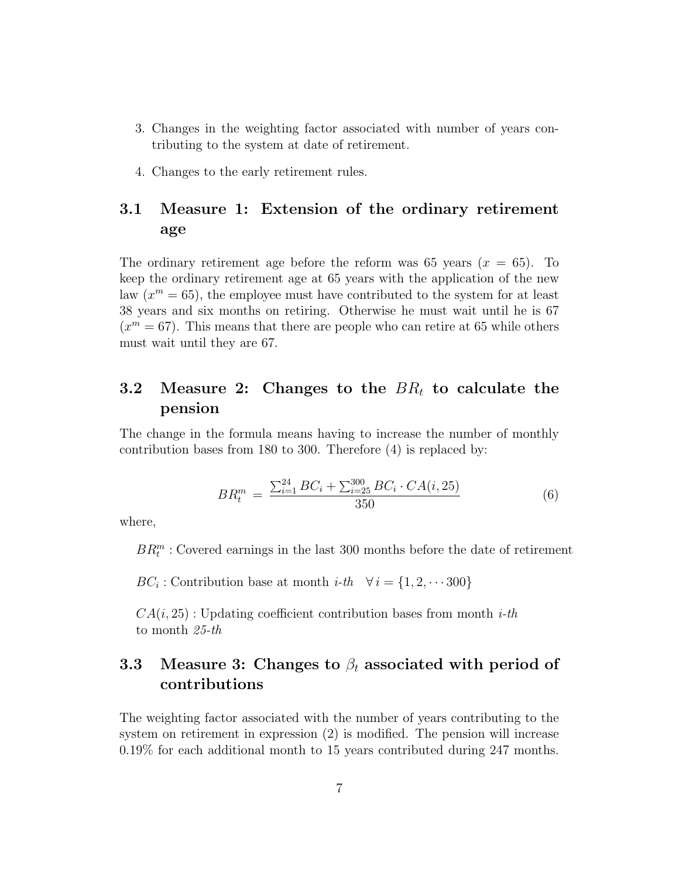- 3. Changes in the weighting factor associated with number of years contributing to the system at date of retirement.
- 4. Changes to the early retirement rules.

#### 3.1 Measure 1: Extension of the ordinary retirement age

The ordinary retirement age before the reform was 65 years  $(x = 65)$ . To keep the ordinary retirement age at 65 years with the application of the new law  $(x^m = 65)$ , the employee must have contributed to the system for at least 38 years and six months on retiring. Otherwise he must wait until he is 67  $(x<sup>m</sup> = 67)$ . This means that there are people who can retire at 65 while others must wait until they are 67.

#### 3.2 Measure 2: Changes to the  $BR_t$  to calculate the pension

The change in the formula means having to increase the number of monthly contribution bases from 180 to 300. Therefore (4) is replaced by:

$$
BR_t^m = \frac{\sum_{i=1}^{24} BC_i + \sum_{i=25}^{300} BC_i \cdot CA(i, 25)}{350} \tag{6}
$$

where,

 $BR_t^m$ : Covered earnings in the last 300 months before the date of retirement

 $BC_i$ : Contribution base at month *i-th*  $\forall i = \{1, 2, \dots 300\}$ 

 $CA(i, 25)$ : Updating coefficient contribution bases from month *i-th* to month 25-th

### 3.3 Measure 3: Changes to  $\beta_t$  associated with period of contributions

The weighting factor associated with the number of years contributing to the system on retirement in expression (2) is modified. The pension will increase 0.19% for each additional month to 15 years contributed during 247 months.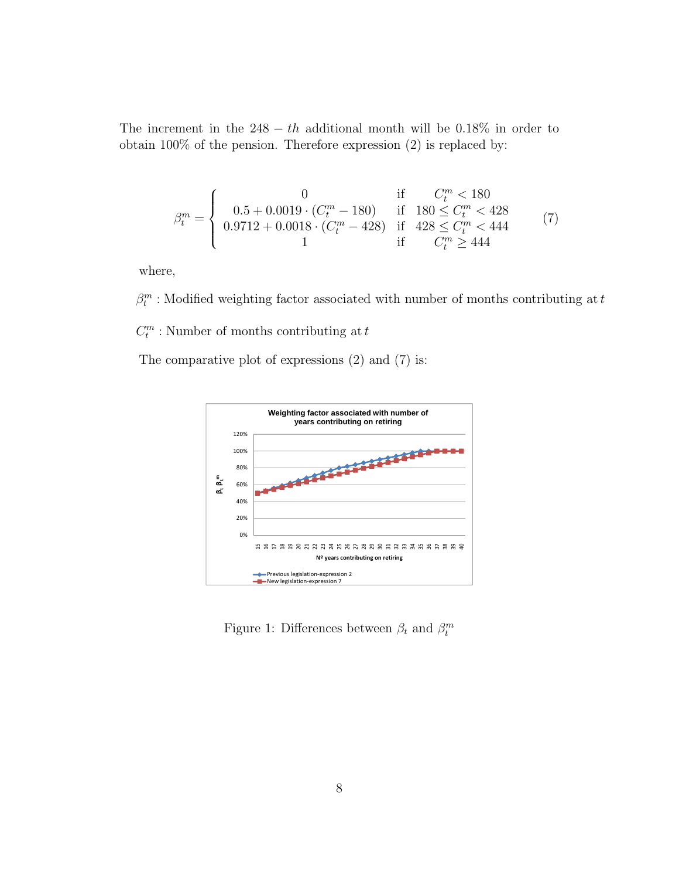The increment in the  $248 - th$  additional month will be 0.18% in order to obtain 100% of the pension. Therefore expression (2) is replaced by:

$$
\beta_t^m = \begin{cases}\n0 & \text{if } C_t^m < 180 \\
0.5 + 0.0019 \cdot (C_t^m - 180) & \text{if } 180 \le C_t^m < 428 \\
0.9712 + 0.0018 \cdot (C_t^m - 428) & \text{if } 428 \le C_t^m < 444 \\
1 & \text{if } C_t^m \ge 444\n\end{cases} \tag{7}
$$

where,

 $\beta^m_t$  : Modified weighting factor associated with number of months contributing at  $t$  $C_t^m$ : Number of months contributing at  $t$ 

The comparative plot of expressions (2) and (7) is:



Figure 1: Differences between  $\beta_t$  and  $\beta_t^m$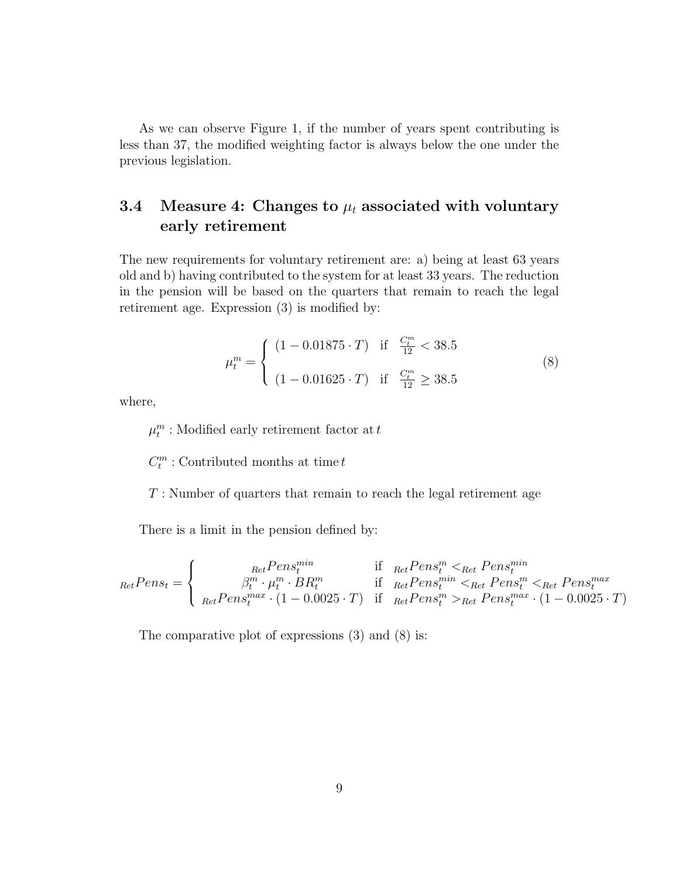As we can observe Figure 1, if the number of years spent contributing is less than 37, the modified weighting factor is always below the one under the previous legislation.

### 3.4 Measure 4: Changes to  $\mu_t$  associated with voluntary early retirement

The new requirements for voluntary retirement are: a) being at least 63 years old and b) having contributed to the system for at least 33 years. The reduction in the pension will be based on the quarters that remain to reach the legal retirement age. Expression (3) is modified by:

$$
\mu_t^m = \begin{cases}\n(1 - 0.01875 \cdot T) & \text{if } \frac{C_t^m}{12} < 38.5 \\
(1 - 0.01625 \cdot T) & \text{if } \frac{C_t^m}{12} \ge 38.5\n\end{cases}
$$
\n(8)

where,

 $\mu_t^m$  : Modified early retirement factor at  $t$ 

 $C_t^m$ : Contributed months at time  $t$ 

 $T$ : Number of quarters that remain to reach the legal retirement age

There is a limit in the pension defined by:

RetP ens<sup>t</sup> = RetP ensmin t if RetP ens<sup>m</sup> <sup>t</sup> <Ret P ensmin t β m t · µ m t · BR<sup>m</sup> t if RetP ensmin <sup>t</sup> <Ret P ens<sup>m</sup> <sup>t</sup> <Ret P ensmax t RetP ensmax t · (1 − 0.0025 · T) if RetP ens<sup>m</sup> <sup>t</sup> >Ret P ensmax t · (1 − 0.0025 · T)

The comparative plot of expressions (3) and (8) is: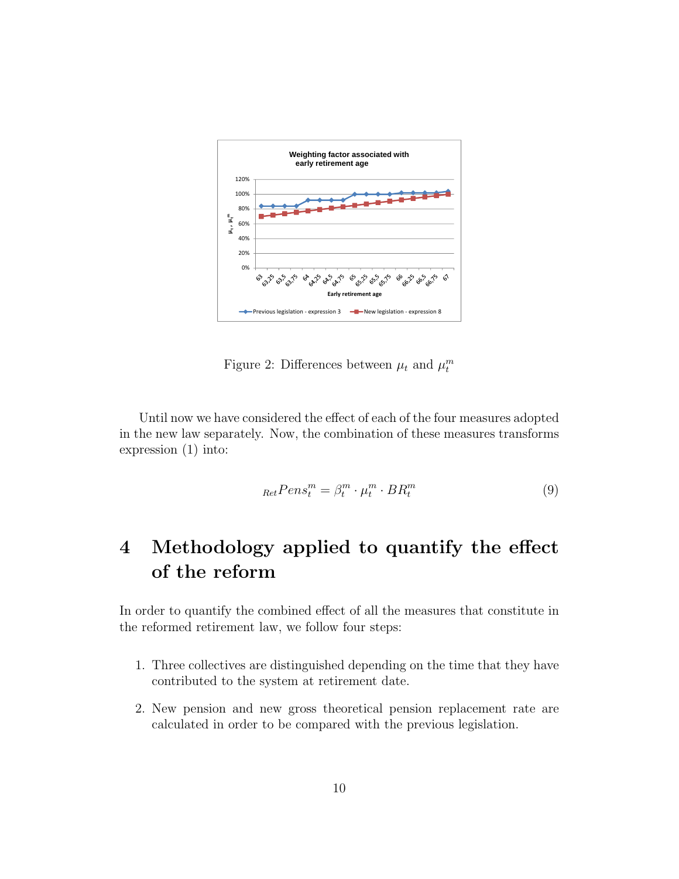

Figure 2: Differences between  $\mu_t$  and  $\mu_t^m$ 

Until now we have considered the effect of each of the four measures adopted in the new law separately. Now, the combination of these measures transforms expression (1) into:

$$
_{Ret}Pens_t^m = \beta_t^m \cdot \mu_t^m \cdot BR_t^m \tag{9}
$$

## 4 Methodology applied to quantify the effect of the reform

In order to quantify the combined effect of all the measures that constitute in the reformed retirement law, we follow four steps:

- 1. Three collectives are distinguished depending on the time that they have contributed to the system at retirement date.
- 2. New pension and new gross theoretical pension replacement rate are calculated in order to be compared with the previous legislation.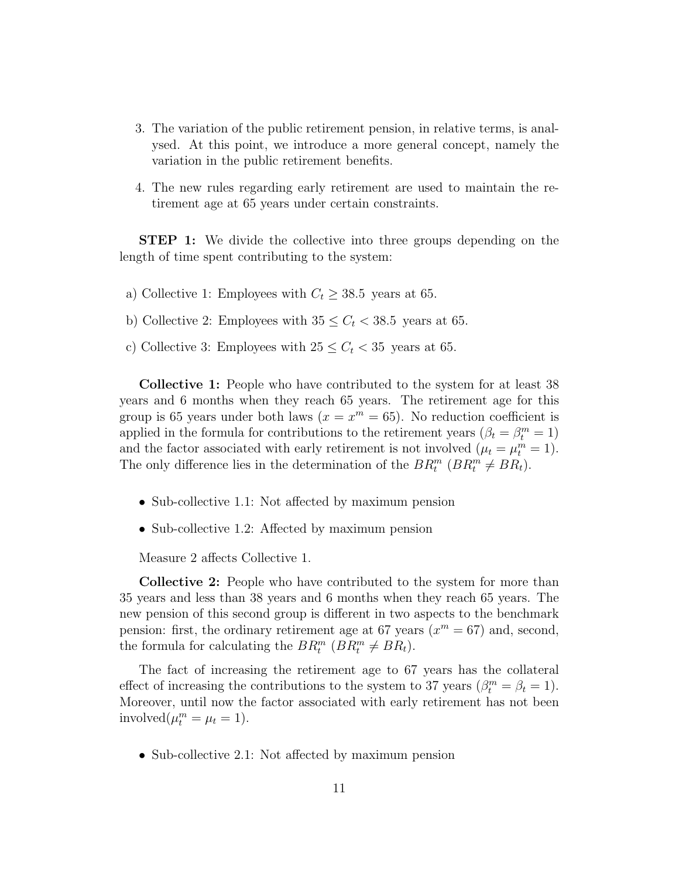- 3. The variation of the public retirement pension, in relative terms, is analysed. At this point, we introduce a more general concept, namely the variation in the public retirement benefits.
- 4. The new rules regarding early retirement are used to maintain the retirement age at 65 years under certain constraints.

STEP 1: We divide the collective into three groups depending on the length of time spent contributing to the system:

- a) Collective 1: Employees with  $C_t \geq 38.5$  years at 65.
- b) Collective 2: Employees with  $35 \leq C_t < 38.5$  years at 65.
- c) Collective 3: Employees with  $25 \leq C_t < 35$  years at 65.

Collective 1: People who have contributed to the system for at least 38 years and 6 months when they reach 65 years. The retirement age for this group is 65 years under both laws  $(x = x^m = 65)$ . No reduction coefficient is applied in the formula for contributions to the retirement years  $(\beta_t = \beta_t^m = 1)$ and the factor associated with early retirement is not involved  $(\mu_t = \mu_t^m = 1)$ . The only difference lies in the determination of the  $BR_t^m$  ( $BR_t^m \neq BR_t$ ).

- Sub-collective 1.1: Not affected by maximum pension
- Sub-collective 1.2: Affected by maximum pension

Measure 2 affects Collective 1.

Collective 2: People who have contributed to the system for more than 35 years and less than 38 years and 6 months when they reach 65 years. The new pension of this second group is different in two aspects to the benchmark pension: first, the ordinary retirement age at 67 years  $(x^m = 67)$  and, second, the formula for calculating the  $BR_t^m$  ( $BR_t^m \neq BR_t$ ).

The fact of increasing the retirement age to 67 years has the collateral effect of increasing the contributions to the system to 37 years  $(\beta_t^m = \beta_t = 1)$ . Moreover, until now the factor associated with early retirement has not been involved $(\mu_t^m = \mu_t = 1).$ 

• Sub-collective 2.1: Not affected by maximum pension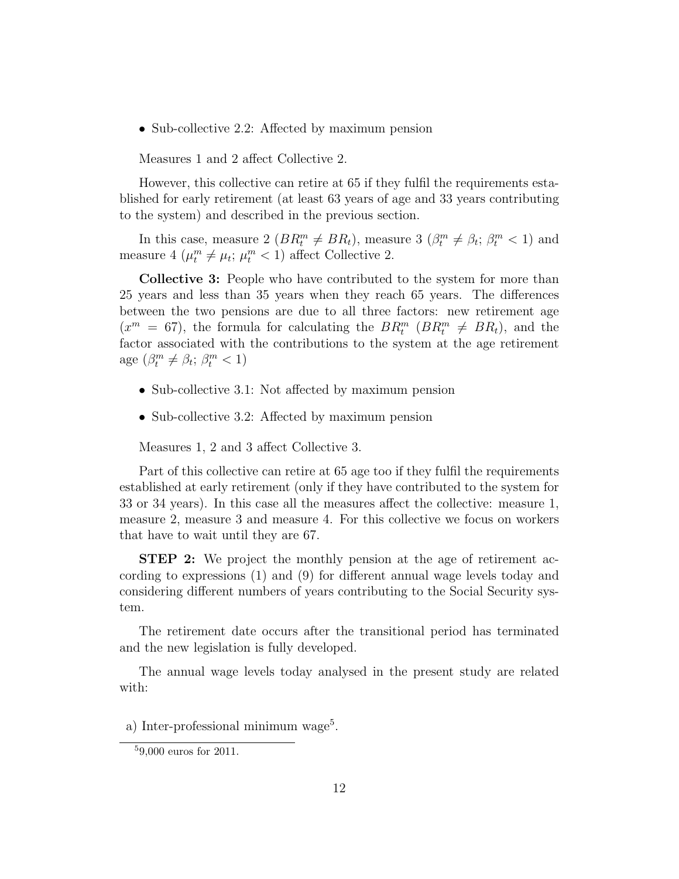• Sub-collective 2.2: Affected by maximum pension

Measures 1 and 2 affect Collective 2.

However, this collective can retire at 65 if they fulfil the requirements established for early retirement (at least 63 years of age and 33 years contributing to the system) and described in the previous section.

In this case, measure 2 ( $BR_t^m \neq BR_t$ ), measure 3 ( $\beta_t^m \neq \beta_t$ ;  $\beta_t^m < 1$ ) and measure 4 ( $\mu_t^m \neq \mu_t$ ;  $\mu_t^m < 1$ ) affect Collective 2.

Collective 3: People who have contributed to the system for more than 25 years and less than 35 years when they reach 65 years. The differences between the two pensions are due to all three factors: new retirement age  $(x^m = 67)$ , the formula for calculating the  $BR_t^m$  ( $BR_t^m \neq BR_t$ ), and the factor associated with the contributions to the system at the age retirement age  $(\beta_t^m \neq \beta_t; \beta_t^m < 1)$ 

- Sub-collective 3.1: Not affected by maximum pension
- Sub-collective 3.2: Affected by maximum pension

Measures 1, 2 and 3 affect Collective 3.

Part of this collective can retire at 65 age too if they fulfil the requirements established at early retirement (only if they have contributed to the system for 33 or 34 years). In this case all the measures affect the collective: measure 1, measure 2, measure 3 and measure 4. For this collective we focus on workers that have to wait until they are 67.

STEP 2: We project the monthly pension at the age of retirement according to expressions (1) and (9) for different annual wage levels today and considering different numbers of years contributing to the Social Security system.

The retirement date occurs after the transitional period has terminated and the new legislation is fully developed.

The annual wage levels today analysed in the present study are related with:

a) Inter-professional minimum wage<sup>5</sup>.

<sup>5</sup>9,000 euros for 2011.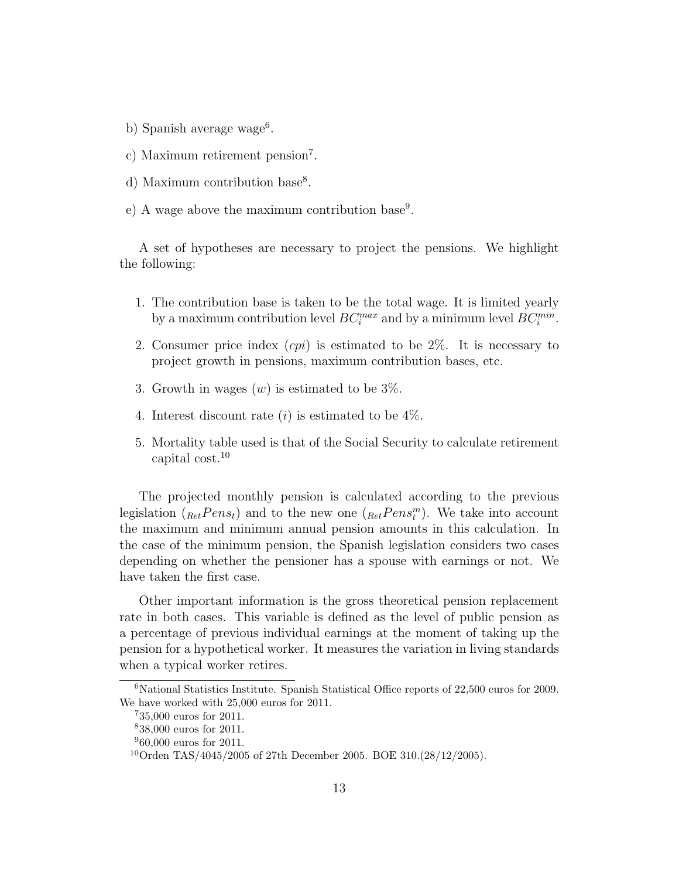- b) Spanish average wage<sup>6</sup>.
- c) Maximum retirement pension<sup>7</sup> .
- d) Maximum contribution base<sup>8</sup>.
- e) A wage above the maximum contribution base<sup>9</sup>.

A set of hypotheses are necessary to project the pensions. We highlight the following:

- 1. The contribution base is taken to be the total wage. It is limited yearly by a maximum contribution level  $BC_i^{max}$  and by a minimum level  $BC_i^{min}$ .
- 2. Consumer price index  $(cpi)$  is estimated to be 2\%. It is necessary to project growth in pensions, maximum contribution bases, etc.
- 3. Growth in wages  $(w)$  is estimated to be  $3\%$ .
- 4. Interest discount rate  $(i)$  is estimated to be  $4\%$ .
- 5. Mortality table used is that of the Social Security to calculate retirement capital cost.<sup>10</sup>

The projected monthly pension is calculated according to the previous legislation  $(k_{\text{et}}Pens_t)$  and to the new one  $(k_{\text{et}}Pens_t^m)$ . We take into account the maximum and minimum annual pension amounts in this calculation. In the case of the minimum pension, the Spanish legislation considers two cases depending on whether the pensioner has a spouse with earnings or not. We have taken the first case.

Other important information is the gross theoretical pension replacement rate in both cases. This variable is defined as the level of public pension as a percentage of previous individual earnings at the moment of taking up the pension for a hypothetical worker. It measures the variation in living standards when a typical worker retires.

<sup>6</sup>National Statistics Institute. Spanish Statistical Office reports of 22,500 euros for 2009. We have worked with 25,000 euros for 2011.

<sup>7</sup>35,000 euros for 2011.

<sup>8</sup>38,000 euros for 2011.

 $960,000$  euros for 2011.

<sup>&</sup>lt;sup>10</sup>Orden TAS/4045/2005 of 27th December 2005. BOE 310. $(28/12/2005)$ .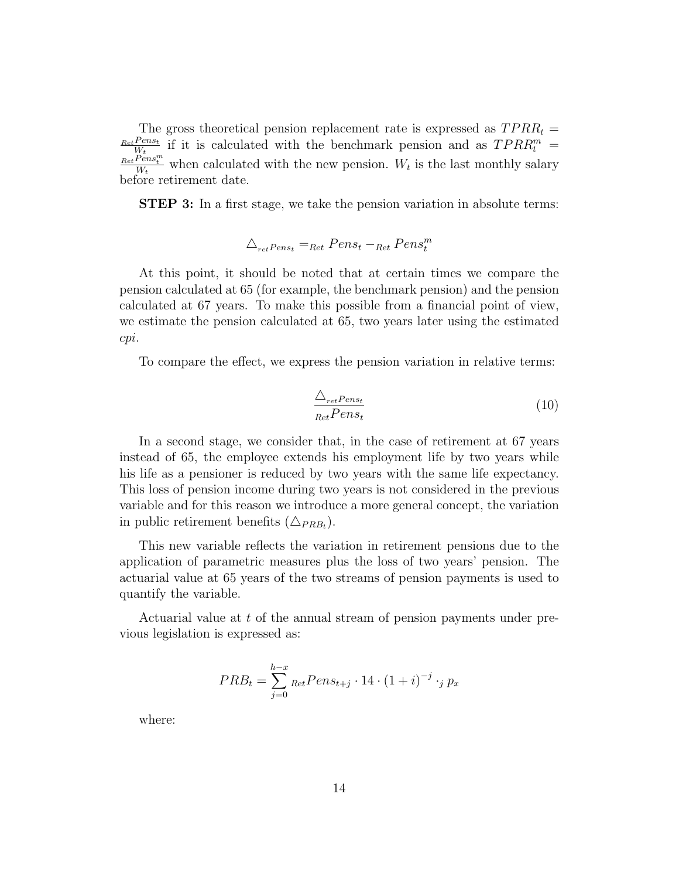The gross theoretical pension replacement rate is expressed as  $TPRR_t =$  $_{Ret}$ Penst  $\frac{Pens_t}{W_t}$  if it is calculated with the benchmark pension and as  $TPRR_t^m =$  $\frac{Ret\widetilde{Per}_t^{\widetilde{Per}_t}}{W_t}$  when calculated with the new pension.  $W_t$  is the last monthly salary before retirement date.

STEP 3: In a first stage, we take the pension variation in absolute terms:

$$
\triangle_{retPens_t} =_{Ret} Pens_t -_{Ret} Pens_t^m
$$

At this point, it should be noted that at certain times we compare the pension calculated at 65 (for example, the benchmark pension) and the pension calculated at 67 years. To make this possible from a financial point of view, we estimate the pension calculated at 65, two years later using the estimated cpi.

To compare the effect, we express the pension variation in relative terms:

$$
\frac{\triangle_{ret}Pens_t}{RetPens_t} \tag{10}
$$

In a second stage, we consider that, in the case of retirement at 67 years instead of 65, the employee extends his employment life by two years while his life as a pensioner is reduced by two years with the same life expectancy. This loss of pension income during two years is not considered in the previous variable and for this reason we introduce a more general concept, the variation in public retirement benefits  $(\triangle_{PRB_t})$ .

This new variable reflects the variation in retirement pensions due to the application of parametric measures plus the loss of two years' pension. The actuarial value at 65 years of the two streams of pension payments is used to quantify the variable.

Actuarial value at t of the annual stream of pension payments under previous legislation is expressed as:

$$
PRB_t = \sum_{j=0}^{h-x} \text{Ret} Pens_{t+j} \cdot 14 \cdot (1+i)^{-j} \cdot {}_j p_x
$$

where: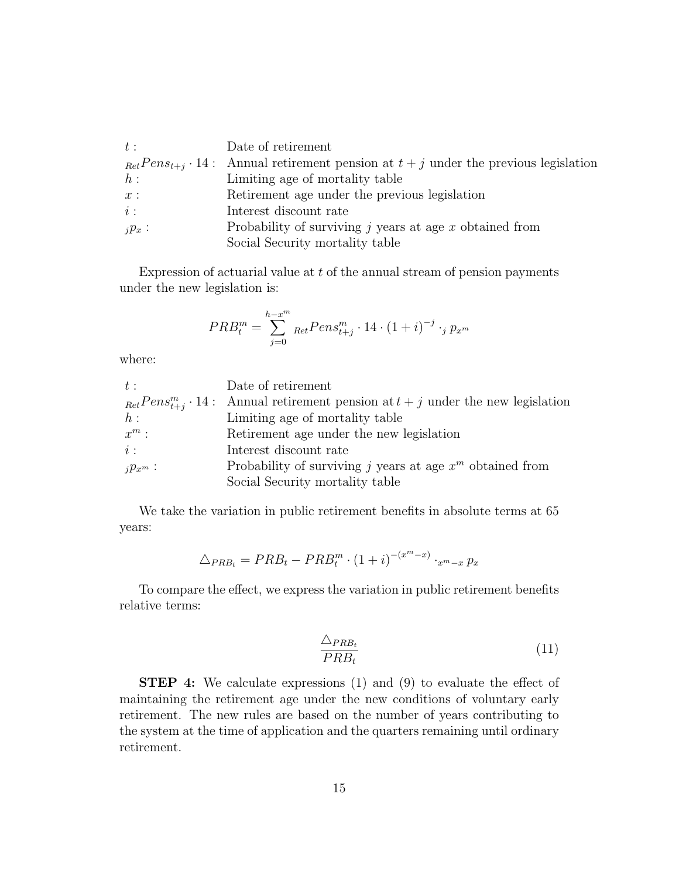| $t$ :     | Date of retirement                                                                               |
|-----------|--------------------------------------------------------------------------------------------------|
|           | $_{Ret} Pens_{t+i} \cdot 14$ : Annual retirement pension at $t+j$ under the previous legislation |
| $h$ :     | Limiting age of mortality table                                                                  |
| x:        | Retirement age under the previous legislation                                                    |
| $i$ :     | Interest discount rate                                                                           |
| $i p_x$ : | Probability of surviving $j$ years at age $x$ obtained from                                      |
|           | Social Security mortality table                                                                  |

Expression of actuarial value at  $t$  of the annual stream of pension payments under the new legislation is:

$$
PRB_t^m = \sum_{j=0}^{h-x^m} \text{RetPens}_{t+j}^m \cdot 14 \cdot (1+i)^{-j} \cdot j p_{x^m}
$$

where:

| $t$ :       | Date of retirement                                                                           |
|-------------|----------------------------------------------------------------------------------------------|
|             | $_{Ret}Pens_{t+i}^m \cdot 14$ : Annual retirement pension at $t+j$ under the new legislation |
| $h$ :       | Limiting age of mortality table                                                              |
| $x^m$ :     | Retirement age under the new legislation                                                     |
| $i$ :       | Interest discount rate                                                                       |
| $i p_x m$ : | Probability of surviving <i>j</i> years at age $x^m$ obtained from                           |
|             | Social Security mortality table                                                              |

We take the variation in public retirement benefits in absolute terms at 65 years:

$$
\triangle_{PRB_t} = PRB_t - PRB_t^m \cdot (1+i)^{-(x^m-x)} \cdot_{x^m-x} p_x
$$

To compare the effect, we express the variation in public retirement benefits relative terms:

$$
\frac{\triangle_{PRB_t}}{PRB_t} \tag{11}
$$

STEP 4: We calculate expressions (1) and (9) to evaluate the effect of maintaining the retirement age under the new conditions of voluntary early retirement. The new rules are based on the number of years contributing to the system at the time of application and the quarters remaining until ordinary retirement.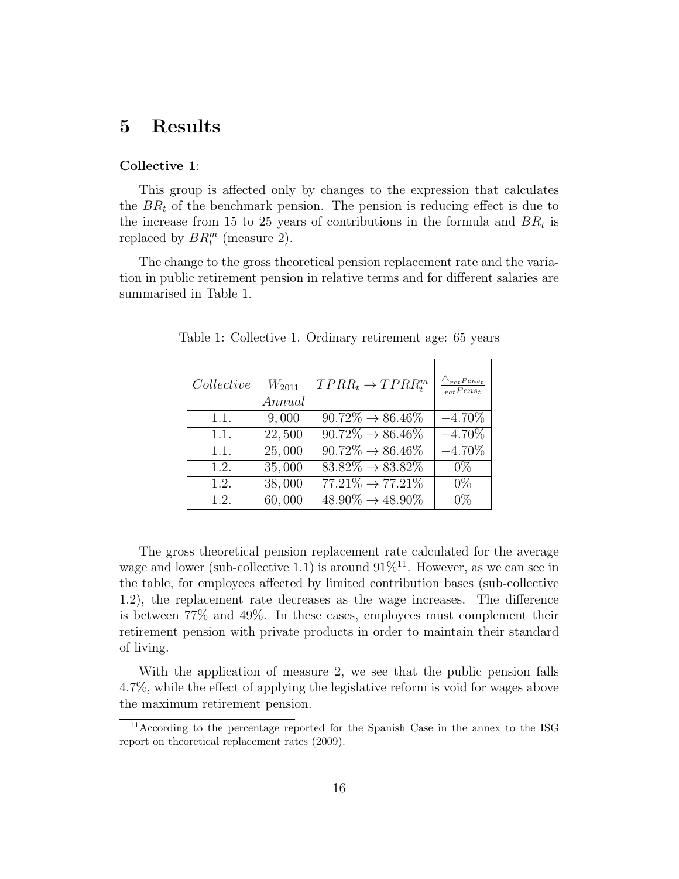## 5 Results

#### Collective 1:

This group is affected only by changes to the expression that calculates the  $BR<sub>t</sub>$  of the benchmark pension. The pension is reducing effect is due to the increase from 15 to 25 years of contributions in the formula and  $BR_t$  is replaced by  $BR_t^m$  (measure 2).

The change to the gross theoretical pension replacement rate and the variation in public retirement pension in relative terms and for different salaries are summarised in Table 1.

| Collective | $W_{2011}$<br>Annual | $TPRR_t \rightarrow TPRR_t^m$            | $\triangle_{ret}$ Pens <sub>t</sub><br>$_{ret}Pens_t$ |
|------------|----------------------|------------------------------------------|-------------------------------------------------------|
| 1.1.       | 9,000                | $\overline{90.72\%} \rightarrow 86.46\%$ | $-4.70\%$                                             |
| 1.1.       | $\overline{22,500}$  | $\overline{90.72\%} \rightarrow 86.46\%$ | $-4.70\%$                                             |
| 1.1.       | $\overline{25,000}$  | $90.72\% \rightarrow 86.46\%$            | $-4.70\%$                                             |
| 1.2.       | 35,000               | $83.82\% \rightarrow 83.82\%$            | $0\%$                                                 |
| 1.2.       | $\overline{38,000}$  | $77.21\% \rightarrow 77.21\%$            | $0\%$                                                 |
| 1.2.       | 60,000               | $48.90\% \rightarrow 48.90\%$            | $0\%$                                                 |

Table 1: Collective 1. Ordinary retirement age: 65 years

The gross theoretical pension replacement rate calculated for the average wage and lower (sub-collective 1.1) is around  $91\%^{11}$ . However, as we can see in the table, for employees affected by limited contribution bases (sub-collective 1.2), the replacement rate decreases as the wage increases. The difference is between 77% and 49%. In these cases, employees must complement their retirement pension with private products in order to maintain their standard of living.

With the application of measure 2, we see that the public pension falls 4.7%, while the effect of applying the legislative reform is void for wages above the maximum retirement pension.

<sup>&</sup>lt;sup>11</sup>According to the percentage reported for the Spanish Case in the annex to the ISG report on theoretical replacement rates (2009).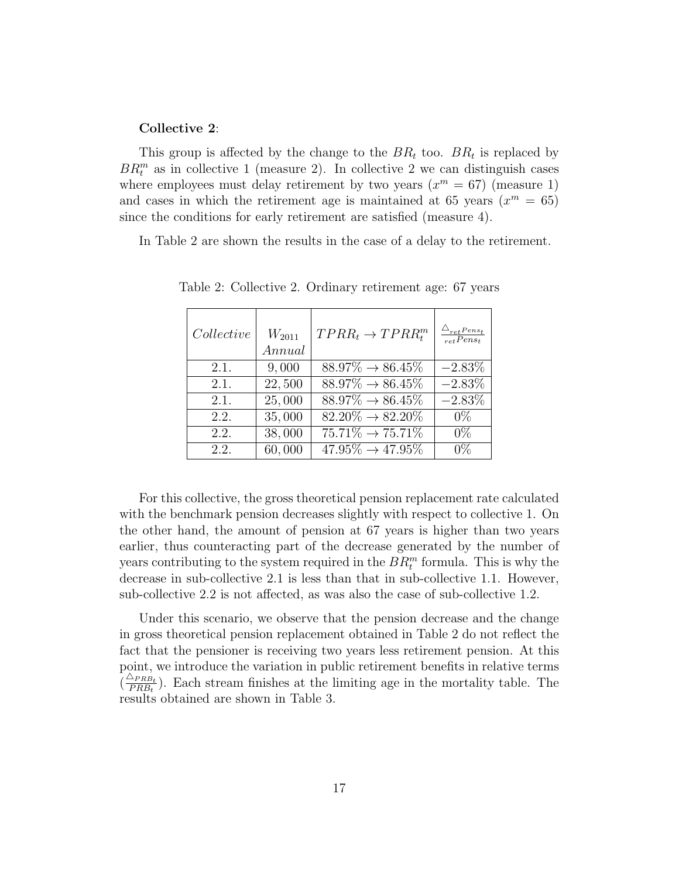#### Collective 2:

This group is affected by the change to the  $BR_t$  too.  $BR_t$  is replaced by  $BR_t^m$  as in collective 1 (measure 2). In collective 2 we can distinguish cases where employees must delay retirement by two years  $(x^m = 67)$  (measure 1) and cases in which the retirement age is maintained at 65 years  $(x^m = 65)$ since the conditions for early retirement are satisfied (measure 4).

In Table 2 are shown the results in the case of a delay to the retirement.

| Collective | $W_{2011}$<br>Annual | $TPRR_t \rightarrow TPRR_t^m$            | $\triangle_{retPens_t}$<br>$_{ret}Pens_t$ |
|------------|----------------------|------------------------------------------|-------------------------------------------|
| 2.1.       | 9,000                | $88.97\% \rightarrow 86.45\%$            | $-2.83%$                                  |
| 2.1.       | $\overline{22,500}$  | $88.97\% \rightarrow 86.45\%$            | $-2.83%$                                  |
| 2.1.       | 25,000               | $88.97\% \rightarrow 86.45\%$            | $-2.83\%$                                 |
| 2.2.       | 35,000               | $82.20\% \rightarrow 82.20\%$            | $0\%$                                     |
| 2.2.       | 38,000               | $75.71\% \rightarrow 75.71\%$            | $0\%$                                     |
| 2.2.       | 60,000               | $\overline{47.95\%} \rightarrow 47.95\%$ | $0\%$                                     |

Table 2: Collective 2. Ordinary retirement age: 67 years

For this collective, the gross theoretical pension replacement rate calculated with the benchmark pension decreases slightly with respect to collective 1. On the other hand, the amount of pension at 67 years is higher than two years earlier, thus counteracting part of the decrease generated by the number of years contributing to the system required in the  $BR_t^m$  formula. This is why the decrease in sub-collective 2.1 is less than that in sub-collective 1.1. However, sub-collective 2.2 is not affected, as was also the case of sub-collective 1.2.

Under this scenario, we observe that the pension decrease and the change in gross theoretical pension replacement obtained in Table 2 do not reflect the fact that the pensioner is receiving two years less retirement pension. At this point, we introduce the variation in public retirement benefits in relative terms  $\left(\frac{\triangle_{PRB_t}}{PRB_t}\right)$  $\frac{\Delta P R B_t}{PR B_t}$ ). Each stream finishes at the limiting age in the mortality table. The results obtained are shown in Table 3.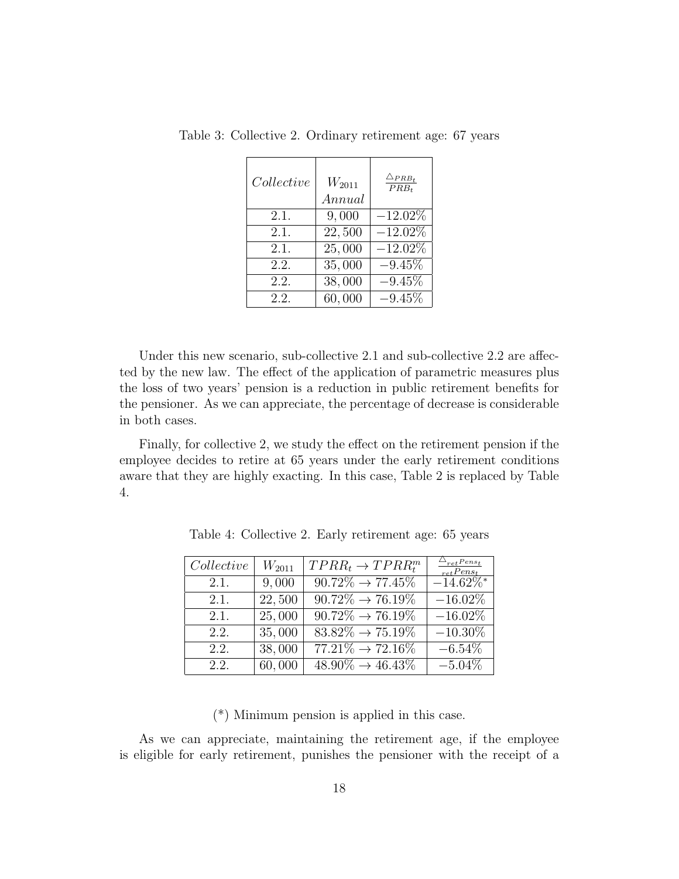| Collective | $W_{2011}$<br>Annual | $\triangle_{PRB_t}$<br>$\overline{PRB_t}$ |
|------------|----------------------|-------------------------------------------|
| 2.1.       | 9,000                | $-12.02\%$                                |
| 2.1.       | 22,500               | $-12.02\%$                                |
| 2.1.       | 25,000               | $-12.02\%$                                |
| 2.2.       | 35,000               | $-9.45\%$                                 |
| 2.2.       | 38,000               | $-9.45\%$                                 |
| 2.2.       | 60,000               | $-9.45\%$                                 |

Table 3: Collective 2. Ordinary retirement age: 67 years

Under this new scenario, sub-collective 2.1 and sub-collective 2.2 are affected by the new law. The effect of the application of parametric measures plus the loss of two years' pension is a reduction in public retirement benefits for the pensioner. As we can appreciate, the percentage of decrease is considerable in both cases.

Finally, for collective 2, we study the effect on the retirement pension if the employee decides to retire at 65 years under the early retirement conditions aware that they are highly exacting. In this case, Table 2 is replaced by Table 4.

| Collective | $W_{2011}$ | $TPRR_t \rightarrow TPRR_t^m$            | $\triangle_{ret}$ Pens <sub>t</sub><br>$_{ret}Pens_t$ |
|------------|------------|------------------------------------------|-------------------------------------------------------|
| 2.1.       | 9,000      | $\overline{90.72\%} \rightarrow 77.45\%$ | $-14.62\%$ <sup>*</sup>                               |
| 2.1.       | 22,500     | $90.72\% \rightarrow 76.19\%$            | $-16.02\%$                                            |
| 2.1.       | 25,000     | $90.72\% \rightarrow 76.19\%$            | $-16.02\%$                                            |
| 2.2.       | 35,000     | $\sqrt{83.82\%} \rightarrow 75.19\%$     | $-10.30\%$                                            |
| 2.2.       | 38,000     | $77.21\% \rightarrow 72.16\%$            | $-6.54\%$                                             |
| 2.2.       | 60,000     | $\sqrt{48.90\%} \rightarrow 46.43\%$     | $-5.04\%$                                             |

Table 4: Collective 2. Early retirement age: 65 years

(\*) Minimum pension is applied in this case.

As we can appreciate, maintaining the retirement age, if the employee is eligible for early retirement, punishes the pensioner with the receipt of a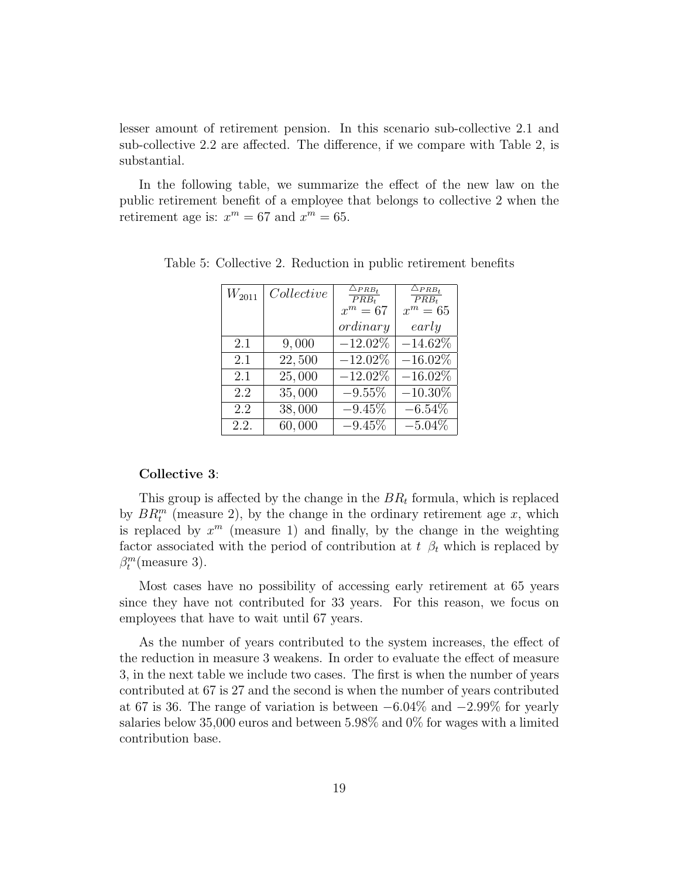lesser amount of retirement pension. In this scenario sub-collective 2.1 and sub-collective 2.2 are affected. The difference, if we compare with Table 2, is substantial.

In the following table, we summarize the effect of the new law on the public retirement benefit of a employee that belongs to collective 2 when the retirement age is:  $x^m = 67$  and  $x^m = 65$ .

| $W_{2011}$ | Collective | $\triangle_{PRB_t}$<br>$PRB_t$ | $\triangle_{PRB_t}$<br>$PRB_t$ |
|------------|------------|--------------------------------|--------------------------------|
|            |            | $x^m=67$                       | $x^m=65$                       |
|            |            | ordinary                       | early                          |
| 2.1        | 9,000      | $-12.02\%$                     | $-14.62\%$                     |
| 2.1        | 22,500     | $-12.02\%$                     | $-16.02\%$                     |
| 2.1        | 25,000     | $-12.02\%$                     | $-16.02%$                      |
| 2.2        | 35,000     | $-9.55%$                       | $-10.30\%$                     |
| 2.2        | 38,000     | $-9.45%$                       | $-6.54\%$                      |
| 2.2.       | 60,000     | $-9.45%$                       | $-5.04\%$                      |

Table 5: Collective 2. Reduction in public retirement benefits

#### Collective 3:

This group is affected by the change in the  $BR_t$  formula, which is replaced by  $BR_t^m$  (measure 2), by the change in the ordinary retirement age x, which is replaced by  $x^m$  (measure 1) and finally, by the change in the weighting factor associated with the period of contribution at  $t \beta_t$  which is replaced by  $\beta_t^m$ (measure 3).

Most cases have no possibility of accessing early retirement at 65 years since they have not contributed for 33 years. For this reason, we focus on employees that have to wait until 67 years.

As the number of years contributed to the system increases, the effect of the reduction in measure 3 weakens. In order to evaluate the effect of measure 3, in the next table we include two cases. The first is when the number of years contributed at 67 is 27 and the second is when the number of years contributed at 67 is 36. The range of variation is between −6.04% and −2.99% for yearly salaries below 35,000 euros and between 5.98% and 0% for wages with a limited contribution base.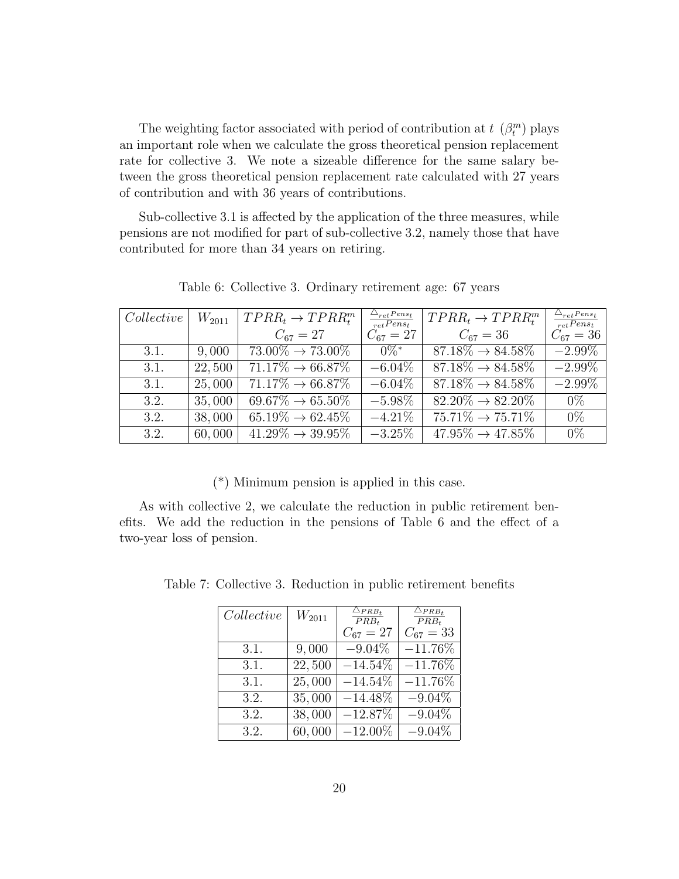The weighting factor associated with period of contribution at  $t \, (\beta_t^m)$  plays an important role when we calculate the gross theoretical pension replacement rate for collective 3. We note a sizeable difference for the same salary between the gross theoretical pension replacement rate calculated with 27 years of contribution and with 36 years of contributions.

Sub-collective 3.1 is affected by the application of the three measures, while pensions are not modified for part of sub-collective 3.2, namely those that have contributed for more than 34 years on retiring.

| Collective | $W_{2011}$ | $TPRR_t \rightarrow TPRR_t^m$            | $\frac{\triangle_{ret}Pens_t}{retPens_t}$ | $TPRR_t \rightarrow TPRR_t^m$ | $\triangle_{ret}$ Pens <sub>t</sub><br>$_{ret}Pens_t$ |
|------------|------------|------------------------------------------|-------------------------------------------|-------------------------------|-------------------------------------------------------|
|            |            | $C_{67} = 27$                            | $C_{67} = 27$                             | $C_{67} = 36$                 | $C_{67} = 36$                                         |
| 3.1.       | 9,000      | $73.00\% \rightarrow 73.00\%$            | $0\%$ *                                   | $87.18\% \rightarrow 84.58\%$ | $-2.99\%$                                             |
| 3.1.       | 22,500     | $\overline{71.17\%} \rightarrow 66.87\%$ | $-6.04\%$                                 | $87.18\% \rightarrow 84.58\%$ | $-2.99\%$                                             |
| 3.1.       | 25,000     | $71.17\% \rightarrow 66.87\%$            | $-6.04\%$                                 | $87.18\% \rightarrow 84.58\%$ | $-2.99\%$                                             |
| 3.2.       | 35,000     | $69.67\% \rightarrow 65.50\%$            | $-5.98\%$                                 | $82.20\% \rightarrow 82.20\%$ | $0\%$                                                 |
| 3.2.       | 38,000     | $65.19\% \rightarrow 62.45\%$            | $-4.21\%$                                 | $75.71\% \rightarrow 75.71\%$ | $0\%$                                                 |
| 3.2.       | 60,000     | $41.29\% \rightarrow 39.95\%$            | $-3.25\%$                                 | $47.95\% \rightarrow 47.85\%$ | $0\%$                                                 |

Table 6: Collective 3. Ordinary retirement age: 67 years

(\*) Minimum pension is applied in this case.

As with collective 2, we calculate the reduction in public retirement benefits. We add the reduction in the pensions of Table 6 and the effect of a two-year loss of pension.

Table 7: Collective 3. Reduction in public retirement benefits

| Collective | $W_{2011}$          | $\triangle_{PRB_t}$<br>$PRB_t$ | $\overline{\triangle_{PRB}}_t$<br>$\overline{PRB_t}$ |
|------------|---------------------|--------------------------------|------------------------------------------------------|
|            |                     | $C_{67} = 27$                  | $C_{67} = 33$                                        |
| 3.1.       | 9,000               | $-9.04\%$                      | $-11.76\%$                                           |
| 3.1.       | $\overline{22,500}$ | $-14.54\%$                     | $-11.76\%$                                           |
| 3.1.       | $\overline{25,000}$ | $-14.54\%$                     | $-11.76\%$                                           |
| 3.2.       | 35,000              | $-14.48\%$                     | $-9.04\%$                                            |
| 3.2.       | 38,000              | $-12.87%$                      | $-9.04\%$                                            |
| 3.2.       | 60,000              | $-12.00\%$                     | $-9.04%$                                             |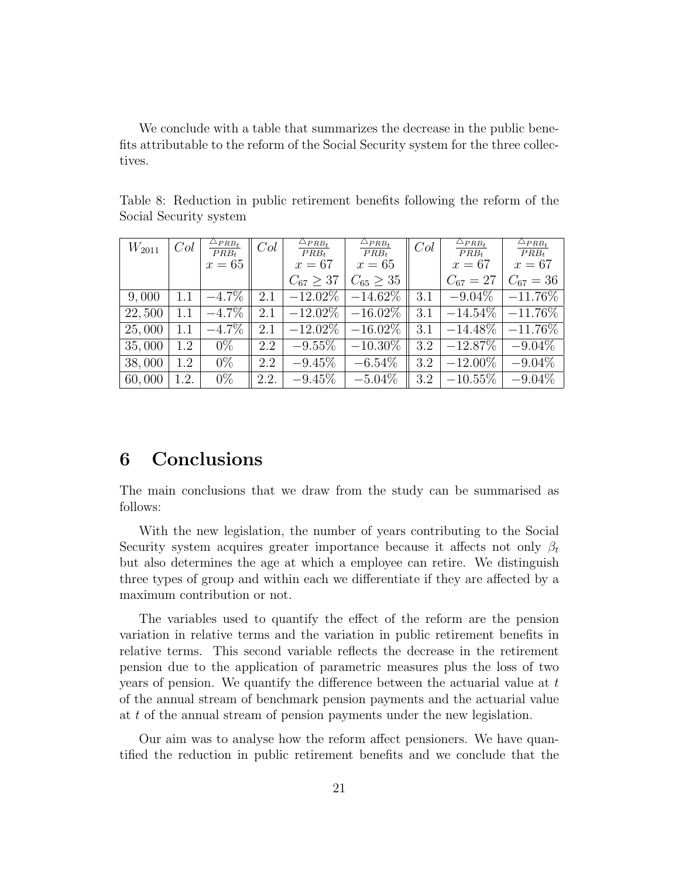We conclude with a table that summarizes the decrease in the public benefits attributable to the reform of the Social Security system for the three collectives.

|            | Col     |                                   | Col  | $\Delta_{PRB_t}$ |                                   | Col | $\triangle_{PRB_t}$ | $\triangle_{PRB_t}$ |
|------------|---------|-----------------------------------|------|------------------|-----------------------------------|-----|---------------------|---------------------|
| $W_{2011}$ |         | $\frac{\triangle_{PRB_t}}{PRB_t}$ |      | $PRB_t$          | $\frac{\triangle_{PRB_t}}{PRB_t}$ |     | $PRB_t$             | $PRB_t$             |
|            |         | $x=65$                            |      | $x=67$           | $x=65$                            |     | $x=67$              | $x=67$              |
|            |         |                                   |      | $C_{67} > 37$    | $C_{65} \geq 35$                  |     | $C_{67} = 27$       | $C_{67} = 36$       |
| 9,000      | $1.1\,$ | $-4.7\%$                          | 2.1  | $-12.02\%$       | $-14.62\%$                        | 3.1 | $-9.04\%$           | $-11.76\%$          |
| 22,500     | $1.1\,$ | $-4.7\%$                          | 2.1  | $-12.02\%$       | $-16.02\%$                        | 3.1 | $-14.54\%$          | $-11.76\%$          |
| 25,000     |         | $-4.7\%$                          | 2.1  | $-12.02\%$       | $-16.02\%$                        | 3.1 | $-14.48\%$          | $-11.76\%$          |
| 35,000     | 1.2     | $0\%$                             | 2.2  | $-9.55\%$        | $-10.30\%$                        | 3.2 | $-12.87\%$          | $-9.04\%$           |
| 38,000     | 1.2     | $0\%$                             | 2.2  | $-9.45\%$        | $-6.54\%$                         | 3.2 | $-12.00\%$          | $-9.04\%$           |
| 60,000     | 1.2.    | $0\%$                             | 2.2. | $-9.45\%$        | $-5.04\%$                         | 3.2 | $-10.55\%$          | $-9.04\%$           |

Table 8: Reduction in public retirement benefits following the reform of the Social Security system

### 6 Conclusions

The main conclusions that we draw from the study can be summarised as follows:

With the new legislation, the number of years contributing to the Social Security system acquires greater importance because it affects not only  $\beta_t$ but also determines the age at which a employee can retire. We distinguish three types of group and within each we differentiate if they are affected by a maximum contribution or not.

The variables used to quantify the effect of the reform are the pension variation in relative terms and the variation in public retirement benefits in relative terms. This second variable reflects the decrease in the retirement pension due to the application of parametric measures plus the loss of two years of pension. We quantify the difference between the actuarial value at t of the annual stream of benchmark pension payments and the actuarial value at t of the annual stream of pension payments under the new legislation.

Our aim was to analyse how the reform affect pensioners. We have quantified the reduction in public retirement benefits and we conclude that the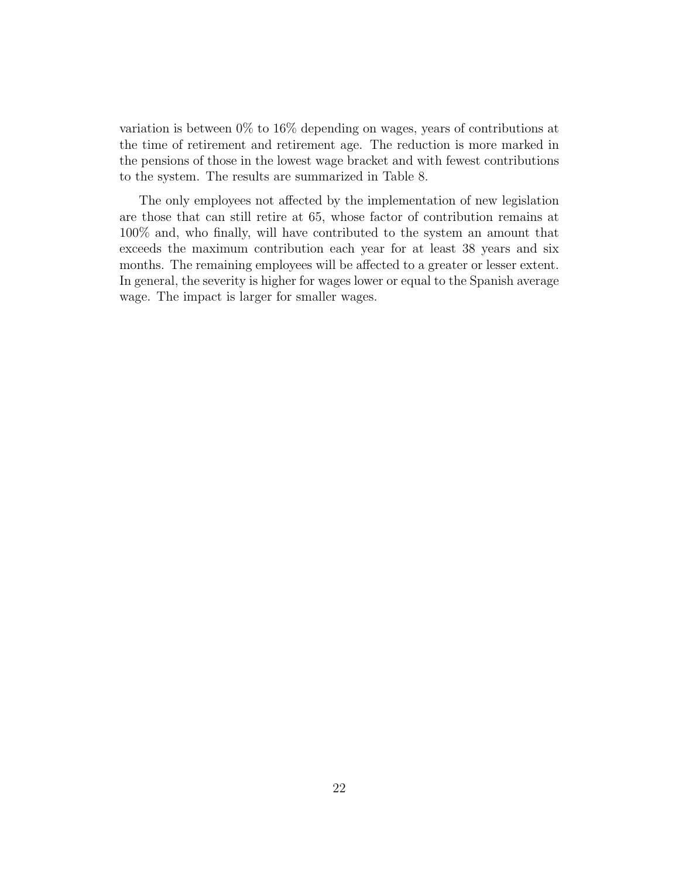variation is between 0% to 16% depending on wages, years of contributions at the time of retirement and retirement age. The reduction is more marked in the pensions of those in the lowest wage bracket and with fewest contributions to the system. The results are summarized in Table 8.

The only employees not affected by the implementation of new legislation are those that can still retire at 65, whose factor of contribution remains at 100% and, who finally, will have contributed to the system an amount that exceeds the maximum contribution each year for at least 38 years and six months. The remaining employees will be affected to a greater or lesser extent. In general, the severity is higher for wages lower or equal to the Spanish average wage. The impact is larger for smaller wages.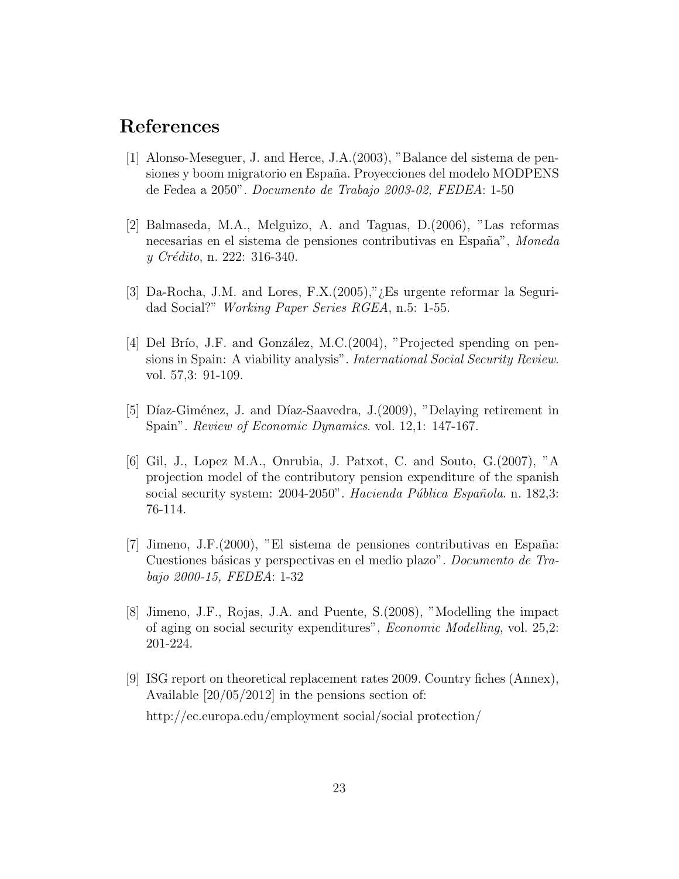## References

- [1] Alonso-Meseguer, J. and Herce, J.A.(2003), "Balance del sistema de pensiones y boom migratorio en España. Proyecciones del modelo MODPENS de Fedea a 2050". Documento de Trabajo 2003-02, FEDEA: 1-50
- [2] Balmaseda, M.A., Melguizo, A. and Taguas, D.(2006), "Las reformas necesarias en el sistema de pensiones contributivas en España", Moneda y Crédito, n. 222: 316-340.
- [3] Da-Rocha, J.M. and Lores, F.X.(2005),"¿Es urgente reformar la Seguridad Social?" Working Paper Series RGEA, n.5: 1-55.
- [4] Del Brío, J.F. and González, M.C. $(2004)$ , "Projected spending on pensions in Spain: A viability analysis". *International Social Security Review*. vol. 57,3: 91-109.
- [5] Díaz-Giménez, J. and Díaz-Saavedra, J.(2009), "Delaying retirement in Spain". *Review of Economic Dynamics.* vol. 12,1: 147-167.
- [6] Gil, J., Lopez M.A., Onrubia, J. Patxot, C. and Souto, G.(2007), "A projection model of the contributory pension expenditure of the spanish social security system: 2004-2050". Hacienda Pública Española. n. 182,3: 76-114.
- [7] Jimeno, J.F. $(2000)$ , "El sistema de pensiones contributivas en España: Cuestiones básicas y perspectivas en el medio plazo". Documento de Trabajo 2000-15, FEDEA: 1-32
- [8] Jimeno, J.F., Rojas, J.A. and Puente, S.(2008), "Modelling the impact of aging on social security expenditures", Economic Modelling, vol. 25,2: 201-224.
- [9] ISG report on theoretical replacement rates 2009. Country fiches (Annex), Available [20/05/2012] in the pensions section of: http://ec.europa.edu/employment social/social protection/